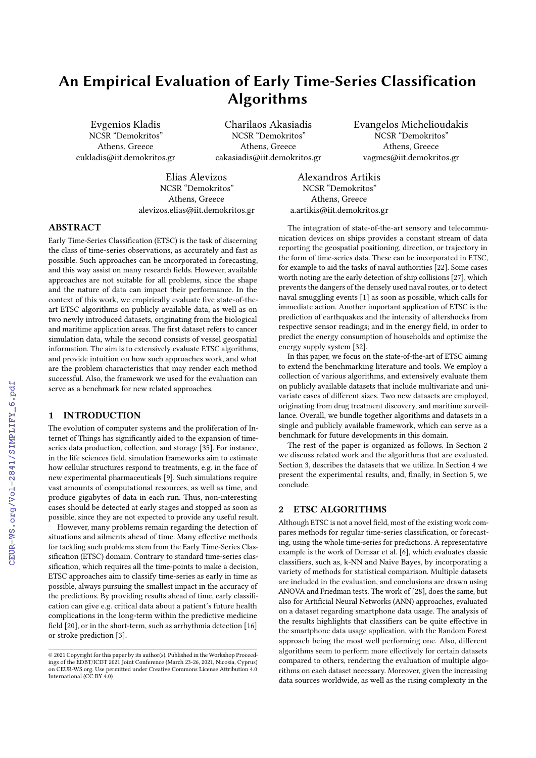# An Empirical Evaluation of Early Time-Series Classification Algorithms

Evgenios Kladis NCSR "Demokritos" Athens, Greece eukladis@iit.demokritos.gr

Charilaos Akasiadis NCSR "Demokritos" Athens, Greece cakasiadis@iit.demokritos.gr Evangelos Michelioudakis NCSR "Demokritos" Athens, Greece vagmcs@iit.demokritos.gr

Elias Alevizos NCSR "Demokritos" Athens, Greece alevizos.elias@iit.demokritos.gr

Alexandros Artikis NCSR "Demokritos" Athens, Greece a.artikis@iit.demokritos.gr

# ABSTRACT

Early Time-Series Classification (ETSC) is the task of discerning the class of time-series observations, as accurately and fast as possible. Such approaches can be incorporated in forecasting, and this way assist on many research fields. However, available approaches are not suitable for all problems, since the shape and the nature of data can impact their performance. In the context of this work, we empirically evaluate five state-of-theart ETSC algorithms on publicly available data, as well as on two newly introduced datasets, originating from the biological and maritime application areas. The first dataset refers to cancer simulation data, while the second consists of vessel geospatial information. The aim is to extensively evaluate ETSC algorithms, and provide intuition on how such approaches work, and what are the problem characteristics that may render each method successful. Also, the framework we used for the evaluation can serve as a benchmark for new related approaches.

## 1 INTRODUCTION

The evolution of computer systems and the proliferation of Internet of Things has significantly aided to the expansion of timeseries data production, collection, and storage [\[35\]](#page--1-0). For instance, in the life sciences field, simulation frameworks aim to estimate how cellular structures respond to treatments, e.g. in the face of new experimental pharmaceuticals [\[9\]](#page--1-1). Such simulations require vast amounts of computational resources, as well as time, and produce gigabytes of data in each run. Thus, non-interesting cases should be detected at early stages and stopped as soon as possible, since they are not expected to provide any useful result.

However, many problems remain regarding the detection of situations and ailments ahead of time. Many effective methods for tackling such problems stem from the Early Time-Series Classification (ETSC) domain. Contrary to standard time-series classification, which requires all the time-points to make a decision, ETSC approaches aim to classify time-series as early in time as possible, always pursuing the smallest impact in the accuracy of the predictions. By providing results ahead of time, early classification can give e.g. critical data about a patient's future health complications in the long-term within the predictive medicine field [\[20\]](#page--1-2), or in the short-term, such as arrhythmia detection [\[16\]](#page--1-3) or stroke prediction [\[3\]](#page--1-4).

The integration of state-of-the-art sensory and telecommunication devices on ships provides a constant stream of data reporting the geospatial positioning, direction, or trajectory in the form of time-series data. These can be incorporated in ETSC, for example to aid the tasks of naval authorities [\[22\]](#page--1-5). Some cases worth noting are the early detection of ship collisions [\[27\]](#page--1-6), which prevents the dangers of the densely used naval routes, or to detect naval smuggling events [\[1\]](#page--1-7) as soon as possible, which calls for immediate action. Another important application of ETSC is the prediction of earthquakes and the intensity of aftershocks from respective sensor readings; and in the energy field, in order to predict the energy consumption of households and optimize the energy supply system [\[32\]](#page--1-8).

In this paper, we focus on the state-of-the-art of ETSC aiming to extend the benchmarking literature and tools. We employ a collection of various algorithms, and extensively evaluate them on publicly available datasets that include multivariate and univariate cases of different sizes. Two new datasets are employed, originating from drug treatment discovery, and maritime surveillance. Overall, we bundle together algorithms and datasets in a single and publicly available framework, which can serve as a benchmark for future developments in this domain.

The rest of the paper is organized as follows. In Section 2 we discuss related work and the algorithms that are evaluated. Section 3, describes the datasets that we utilize. In Section 4 we present the experimental results, and, finally, in Section 5, we conclude.

## 2 ETSC ALGORITHMS

Although ETSC is not a novel field, most of the existing work compares methods for regular time-series classification, or forecasting, using the whole time-series for predictions. A representative example is the work of Demsar et al. [\[6\]](#page--1-9), which evaluates classic classifiers, such as, k-NN and Naive Bayes, by incorporating a variety of methods for statistical comparison. Multiple datasets are included in the evaluation, and conclusions are drawn using ANOVA and Friedman tests. The work of [\[28\]](#page--1-10), does the same, but also for Artificial Neural Networks (ANN) approaches, evaluated on a dataset regarding smartphone data usage. The analysis of the results highlights that classifiers can be quite effective in the smartphone data usage application, with the Random Forest approach being the most well performing one. Also, different algorithms seem to perform more effectively for certain datasets compared to others, rendering the evaluation of multiple algorithms on each dataset necessary. Moreover, given the increasing data sources worldwide, as well as the rising complexity in the

<sup>©</sup> 2021 Copyright for this paper by its author(s). Published in the Workshop Proceedings of the EDBT/ICDT 2021 Joint Conference (March 23-26, 2021, Nicosia, Cyprus) on CEUR-WS.org. Use permitted under Creative Commons License Attribution 4.0 International (CC BY 4.0)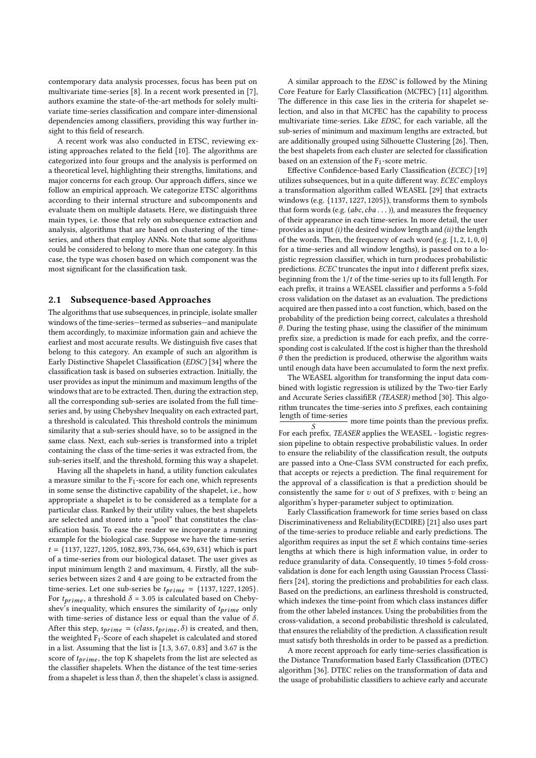contemporary data analysis processes, focus has been put on multivariate time-series [\[8\]](#page-5-0). In a recent work presented in [\[7\]](#page-5-1), authors examine the state-of-the-art methods for solely multivariate time-series classification and compare inter-dimensional dependencies among classifiers, providing this way further insight to this field of research.

A recent work was also conducted in ETSC, reviewing ex-isting approaches related to the field [\[10\]](#page-5-2). The algorithms are categorized into four groups and the analysis is performed on a theoretical level, highlighting their strengths, limitations, and major concerns for each group. Our approach differs, since we follow an empirical approach. We categorize ETSC algorithms according to their internal structure and subcomponents and evaluate them on multiple datasets. Here, we distinguish three main types, i.e. those that rely on subsequence extraction and analysis, algorithms that are based on clustering of the timeseries, and others that employ ANNs. Note that some algorithms could be considered to belong to more than one category. In this case, the type was chosen based on which component was the most significant for the classification task.

#### 2.1 Subsequence-based Approaches

The algorithms that use subsequences, in principle, isolate smaller windows of the time-series—termed as subseries—and manipulate them accordingly, to maximize information gain and achieve the earliest and most accurate results. We distinguish five cases that belong to this category. An example of such an algorithm is Early Distinctive Shapelet Classification (EDSC) [\[34\]](#page-5-3) where the classification task is based on subseries extraction. Initially, the user provides as input the minimum and maximum lengths of the windows that are to be extracted. Then, during the extraction step, all the corresponding sub-series are isolated from the full timeseries and, by using Chebyshev Inequality on each extracted part, a threshold is calculated. This threshold controls the minimum similarity that a sub-series should have, so to be assigned in the same class. Next, each sub-series is transformed into a triplet containing the class of the time-series it was extracted from, the sub-series itself, and the threshold, forming this way a shapelet.

Having all the shapelets in hand, a utility function calculates a measure similar to the F1-score for each one, which represents in some sense the distinctive capability of the shapelet, i.e., how appropriate a shapelet is to be considered as a template for a particular class. Ranked by their utility values, the best shapelets are selected and stored into a "pool" that constitutes the classification basis. To ease the reader we incorporate a running example for the biological case. Suppose we have the time-series  $t = \{1137, 1227, 1205, 1082, 893, 736, 664, 639, 631\}$  which is part of a time-series from our biological dataset. The user gives as input minimum length 2 and maximum, 4. Firstly, all the subseries between sizes 2 and 4 are going to be extracted from the time-series. Let one sub-series be  $t_{prime} = \{1137, 1227, 1205\}.$ For  $t_{prime}$ , a threshold  $\delta = 3.05$  is calculated based on Chebyshev's inequality, which ensures the similarity of  $t_{prime}$  only with time-series of distance less or equal than the value of  $\delta$ . After this step,  $s_{prime} = (class, t_{prime}, \delta)$  is created, and then, the weighted F1-Score of each shapelet is calculated and stored in a list. Assuming that the list is [1.3, 3.67, 0.83] and 3.67 is the score of  $t_{prime}$ , the top K shapelets from the list are selected as the classifier shapelets. When the distance of the test time-series from a shapelet is less than  $\delta$ , then the shapelet's class is assigned.

A similar approach to the EDSC is followed by the Mining Core Feature for Early Classification (MCFEC) [\[11\]](#page-5-4) algorithm. The difference in this case lies in the criteria for shapelet selection, and also in that MCFEC has the capability to process multivariate time-series. Like EDSC, for each variable, all the sub-series of minimum and maximum lengths are extracted, but are additionally grouped using Silhouette Clustering [\[26\]](#page-5-5). Then, the best shapelets from each cluster are selected for classification based on an extension of the  $F_1$ -score metric.

Effective Confidence-based Early Classification (ECEC) [\[19\]](#page-5-6) utilizes subsequences, but in a quite different way. ECEC employs a transformation algorithm called WEASEL [\[29\]](#page-5-7) that extracts windows (e.g. {1137, <sup>1227</sup>, <sup>1205</sup>}), transforms them to symbols that form words (e.g.  $(abc, cba \dots)$ ), and measures the frequency of their appearance in each time-series. In more detail, the user provides as input (i) the desired window length and (ii) the length of the words. Then, the frequency of each word (e.g. [1, <sup>2</sup>, <sup>1</sup>, <sup>0</sup>, <sup>0</sup>] for a time-series and all window lengths), is passed on to a logistic regression classifier, which in turn produces probabilistic predictions.  $ECEC$  truncates the input into  $t$  different prefix sizes, beginning from the  $1/t$  of the time-series up to its full length. For each prefix, it trains a WEASEL classifier and performs a 5-fold cross validation on the dataset as an evaluation. The predictions acquired are then passed into a cost function, which, based on the probability of the prediction being correct, calculates a threshold  $\theta$ . During the testing phase, using the classifier of the minimum prefix size, a prediction is made for each prefix, and the corresponding cost is calculated. If the cost is higher than the threshold  $\theta$  then the prediction is produced, otherwise the algorithm waits until enough data have been accumulated to form the next prefix.

The WEASEL algorithm for transforming the input data combined with logistic regression is utilized by the Two-tier Early and Accurate Series classifiER (TEASER) method [\[30\]](#page-5-8). This algorithm truncates the time-series into *S* prefixes, each containing<br>length of time-series<br>more time points than the previous prefix.

For each prefix, TEASER applies the WEASEL - logistic regression pipeline to obtain respective probabilistic values. In order to ensure the reliability of the classification result, the outputs are passed into a One-Class SVM constructed for each prefix, that accepts or rejects a prediction. The final requirement for the approval of a classification is that a prediction should be consistently the same for  $v$  out of  $S$  prefixes, with  $v$  being an algorithm's hyper-parameter subject to optimization.

Early Classification framework for time series based on class Discriminativeness and Reliability(ECDIRE) [\[21\]](#page-5-9) also uses part of the time-series to produce reliable and early predictions. The algorithm requires as input the set  $E$  which contains time-series lengths at which there is high information value, in order to reduce granularity of data. Consequently, 10 times 5-fold crossvalidation is done for each length using Gaussian Process Classi- fiers [\[24\]](#page-5-10), storing the predictions and probabilities for each class. Based on the predictions, an earliness threshold is constructed, which indexes the time-point from which class instances differ from the other labeled instances. Using the probabilities from the cross-validation, a second probabilistic threshold is calculated, that ensures the reliability of the prediction. A classification result must satisfy both thresholds in order to be passed as a prediction.

A more recent approach for early time-series classification is the Distance Transformation based Early Classification (DTEC) algorithm [\[36\]](#page-5-11). DTEC relies on the transformation of data and the usage of probabilistic classifiers to achieve early and accurate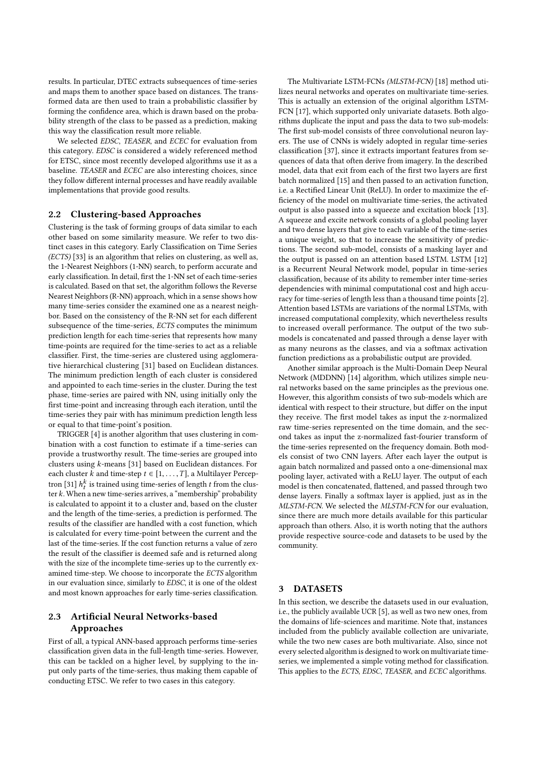results. In particular, DTEC extracts subsequences of time-series and maps them to another space based on distances. The transformed data are then used to train a probabilistic classifier by forming the confidence area, which is drawn based on the probability strength of the class to be passed as a prediction, making this way the classification result more reliable.

We selected EDSC, TEASER, and ECEC for evaluation from this category. EDSC is considered a widely referenced method for ETSC, since most recently developed algorithms use it as a baseline. TEASER and ECEC are also interesting choices, since they follow different internal processes and have readily available implementations that provide good results.

#### 2.2 Clustering-based Approaches

Clustering is the task of forming groups of data similar to each other based on some similarity measure. We refer to two distinct cases in this category. Early Classification on Time Series (ECTS) [\[33\]](#page-5-12) is an algorithm that relies on clustering, as well as, the 1-Nearest Neighbors (1-NN) search, to perform accurate and early classification. In detail, first the 1-NN set of each time-series is calculated. Based on that set, the algorithm follows the Reverse Nearest Neighbors (R-NN) approach, which in a sense shows how many time-series consider the examined one as a nearest neighbor. Based on the consistency of the R-NN set for each different subsequence of the time-series, ECTS computes the minimum prediction length for each time-series that represents how many time-points are required for the time-series to act as a reliable classifier. First, the time-series are clustered using agglomerative hierarchical clustering [\[31\]](#page-5-13) based on Euclidean distances. The minimum prediction length of each cluster is considered and appointed to each time-series in the cluster. During the test phase, time-series are paired with NN, using initially only the first time-point and increasing through each iteration, until the time-series they pair with has minimum prediction length less or equal to that time-point's position.

TRIGGER [\[4\]](#page-5-14) is another algorithm that uses clustering in combination with a cost function to estimate if a time-series can provide a trustworthy result. The time-series are grouped into clusters using k-means [\[31\]](#page-5-13) based on Euclidean distances. For each cluster k and time-step  $t \in [1, \ldots, T]$ , a Multilayer Percep-tron [\[31\]](#page-5-13)  $h_i^k$  is trained using time-series of length t from the clus-<br>ter k. Whan a new time-series arrives, a "membershin" probability ter  $k$ . When a new time-series arrives, a "membership" probability is calculated to appoint it to a cluster and, based on the cluster and the length of the time-series, a prediction is performed. The results of the classifier are handled with a cost function, which is calculated for every time-point between the current and the last of the time-series. If the cost function returns a value of zero the result of the classifier is deemed safe and is returned along with the size of the incomplete time-series up to the currently examined time-step. We choose to incorporate the ECTS algorithm in our evaluation since, similarly to EDSC, it is one of the oldest and most known approaches for early time-series classification.

# 2.3 Artificial Neural Networks-based Approaches

First of all, a typical ANN-based approach performs time-series classification given data in the full-length time-series. However, this can be tackled on a higher level, by supplying to the input only parts of the time-series, thus making them capable of conducting ETSC. We refer to two cases in this category.

The Multivariate LSTM-FCNs (MLSTM-FCN) [\[18\]](#page-5-15) method utilizes neural networks and operates on multivariate time-series. This is actually an extension of the original algorithm LSTM-FCN [\[17\]](#page-5-16), which supported only univariate datasets. Both algorithms duplicate the input and pass the data to two sub-models: The first sub-model consists of three convolutional neuron layers. The use of CNNs is widely adopted in regular time-series classification [\[37\]](#page-5-17), since it extracts important features from sequences of data that often derive from imagery. In the described model, data that exit from each of the first two layers are first batch normalized [\[15\]](#page-5-18) and then passed to an activation function, i.e. a Rectified Linear Unit (ReLU). In order to maximize the efficiency of the model on multivariate time-series, the activated output is also passed into a squeeze and excitation block [\[13\]](#page-5-19). A squeeze and excite network consists of a global pooling layer and two dense layers that give to each variable of the time-series a unique weight, so that to increase the sensitivity of predictions. The second sub-model, consists of a masking layer and the output is passed on an attention based LSTM. LSTM [\[12\]](#page-5-20) is a Recurrent Neural Network model, popular in time-series classification, because of its ability to remember inter time-series dependencies with minimal computational cost and high accuracy for time-series of length less than a thousand time points [\[2\]](#page-5-21). Attention based LSTMs are variations of the normal LSTMs, with increased computational complexity, which nevertheless results to increased overall performance. The output of the two submodels is concatenated and passed through a dense layer with as many neurons as the classes, and via a softmax activation function predictions as a probabilistic output are provided.

Another similar approach is the Multi-Domain Deep Neural Network (MDDNN) [\[14\]](#page-5-22) algorithm, which utilizes simple neural networks based on the same principles as the previous one. However, this algorithm consists of two sub-models which are identical with respect to their structure, but differ on the input they receive. The first model takes as input the z-normalized raw time-series represented on the time domain, and the second takes as input the z-normalized fast-fourier transform of the time-series represented on the frequency domain. Both models consist of two CNN layers. After each layer the output is again batch normalized and passed onto a one-dimensional max pooling layer, activated with a ReLU layer. The output of each model is then concatenated, flattened, and passed through two dense layers. Finally a softmax layer is applied, just as in the MLSTM-FCN. We selected the MLSTM-FCN for our evaluation, since there are much more details available for this particular approach than others. Also, it is worth noting that the authors provide respective source-code and datasets to be used by the community.

## **DATASETS**

In this section, we describe the datasets used in our evaluation, i.e., the publicly available UCR [\[5\]](#page-5-23), as well as two new ones, from the domains of life-sciences and maritime. Note that, instances included from the publicly available collection are univariate, while the two new cases are both multivariate. Also, since not every selected algorithm is designed to work on multivariate timeseries, we implemented a simple voting method for classification. This applies to the ECTS, EDSC, TEASER, and ECEC algorithms.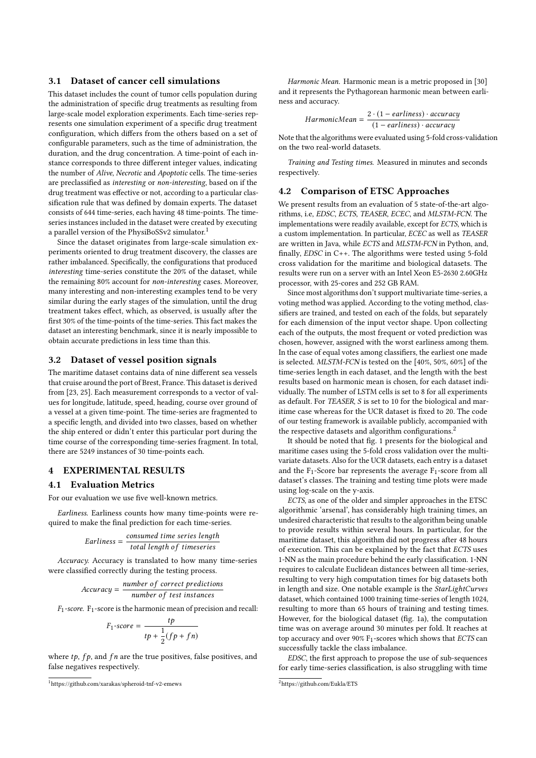#### 3.1 Dataset of cancer cell simulations

This dataset includes the count of tumor cells population during the administration of specific drug treatments as resulting from large-scale model exploration experiments. Each time-series represents one simulation experiment of a specific drug treatment configuration, which differs from the others based on a set of configurable parameters, such as the time of administration, the duration, and the drug concentration. A time-point of each instance corresponds to three different integer values, indicating the number of Alive, Necrotic and Apoptotic cells. The time-series are preclassified as interesting or non-interesting, based on if the drug treatment was effective or not, according to a particular classification rule that was defined by domain experts. The dataset consists of 644 time-series, each having 48 time-points. The timeseries instances included in the dataset were created by executing a parallel version of the PhysiBoSSv2 simulator.<sup>[1](#page-3-0)</sup>

Since the dataset originates from large-scale simulation experiments oriented to drug treatment discovery, the classes are rather imbalanced. Specifically, the configurations that produced interesting time-series constitute the 20% of the dataset, while the remaining 80% account for non-interesting cases. Moreover, many interesting and non-interesting examples tend to be very similar during the early stages of the simulation, until the drug treatment takes effect, which, as observed, is usually after the first 30% of the time-points of the time-series. This fact makes the dataset an interesting benchmark, since it is nearly impossible to obtain accurate predictions in less time than this.

#### 3.2 Dataset of vessel position signals

The maritime dataset contains data of nine different sea vessels that cruise around the port of Brest, France. This dataset is derived from [\[23,](#page-5-24) [25\]](#page-5-25). Each measurement corresponds to a vector of values for longitude, latitude, speed, heading, course over ground of a vessel at a given time-point. The time-series are fragmented to a specific length, and divided into two classes, based on whether the ship entered or didn't enter this particular port during the time course of the corresponding time-series fragment. In total, there are 5249 instances of 30 time-points each.

### 4 EXPERIMENTAL RESULTS

#### 4.1 Evaluation Metrics

For our evaluation we use five well-known metrics.

Earliness. Earliness counts how many time-points were required to make the final prediction for each time-series.

*Earlines* = 
$$
\frac{consumed \ time \ series \ length}{total \ length \ of \ timeseries}
$$

Accuracy. Accuracy is translated to how many time-series were classified correctly during the testing process.

$$
Accuracy = \frac{number\ of\ correct\ predictions}{number\ of\ test\ instances}
$$

 $F_1$ -score.  $F_1$ -score is the harmonic mean of precision and recall:

$$
F_1\text{-score} = \frac{tp}{tp + \frac{1}{2}(fp + fn)}
$$

where  $tp$ ,  $fp$ , and  $fn$  are the true positives, false positives, and false negatives respectively.

Harmonic Mean. Harmonic mean is a metric proposed in [\[30\]](#page-5-8) and it represents the Pythagorean harmonic mean between earliness and accuracy.

$$
HarmonicMean = \frac{2 \cdot (1 - earlines) \cdot accuracy}{(1 - earlines) \cdot accuracy}
$$

 $(1 - \text{earlines}) \cdot \text{accuracy}$ <br>Note that the algorithms were evaluated using 5-fold cross-validation on the two real-world datasets.

Training and Testing times. Measured in minutes and seconds respectively.

#### 4.2 Comparison of ETSC Approaches

We present results from an evaluation of 5 state-of-the-art algorithms, i.e, EDSC, ECTS, TEASER, ECEC, and MLSTM-FCN. The implementations were readily available, except for ECTS, which is a custom implementation. In particular, ECEC as well as TEASER are written in Java, while ECTS and MLSTM-FCN in Python, and, finally,  $EDSC$  in  $C++$ . The algorithms were tested using 5-fold cross validation for the maritime and biological datasets. The results were run on a server with an Intel Xeon E5-2630 2.60GHz processor, with 25-cores and 252 GB RAM.

Since most algorithms don't support multivariate time-series, a voting method was applied. According to the voting method, classifiers are trained, and tested on each of the folds, but separately for each dimension of the input vector shape. Upon collecting each of the outputs, the most frequent or voted prediction was chosen, however, assigned with the worst earliness among them. In the case of equal votes among classifiers, the earliest one made is selected. MLSTM-FCN is tested on the [40%, 50%, 60%] of the time-series length in each dataset, and the length with the best results based on harmonic mean is chosen, for each dataset individually. The number of LSTM cells is set to 8 for all experiments as default. For TEASER, S is set to 10 for the biological and maritime case whereas for the UCR dataset is fixed to 20. The code of our testing framework is available publicly, accompanied with the respective datasets and algorithm configurations.<sup>[2](#page-3-1)</sup>

It should be noted that fig. [1](#page-4-0) presents for the biological and maritime cases using the 5-fold cross validation over the multivariate datasets. Also for the UCR datasets, each entry is a dataset and the  $F_1$ -Score bar represents the average  $F_1$ -score from all dataset's classes. The training and testing time plots were made using log-scale on the y-axis.

ECTS, as one of the older and simpler approaches in the ETSC algorithmic 'arsenal', has considerably high training times, an undesired characteristic that results to the algorithm being unable to provide results within several hours. In particular, for the maritime dataset, this algorithm did not progress after 48 hours of execution. This can be explained by the fact that ECTS uses 1-NN as the main procedure behind the early classification. 1-NN requires to calculate Euclidean distances between all time-series, resulting to very high computation times for big datasets both in length and size. One notable example is the StarLightCurves dataset, which contained 1000 training time-series of length 1024, resulting to more than 65 hours of training and testing times. However, for the biological dataset (fig. [1a\)](#page-4-0), the computation time was on average around 30 minutes per fold. It reaches at top accuracy and over 90%  $F_1$ -scores which shows that ECTS can successfully tackle the class imbalance.

EDSC, the first approach to propose the use of sub-sequences for early time-series classification, is also struggling with time

<span id="page-3-0"></span> $1$ https://github.com/xarakas/spheroid-tnf-v2-emews

<span id="page-3-1"></span><sup>2</sup>https://github.com/Eukla/ETS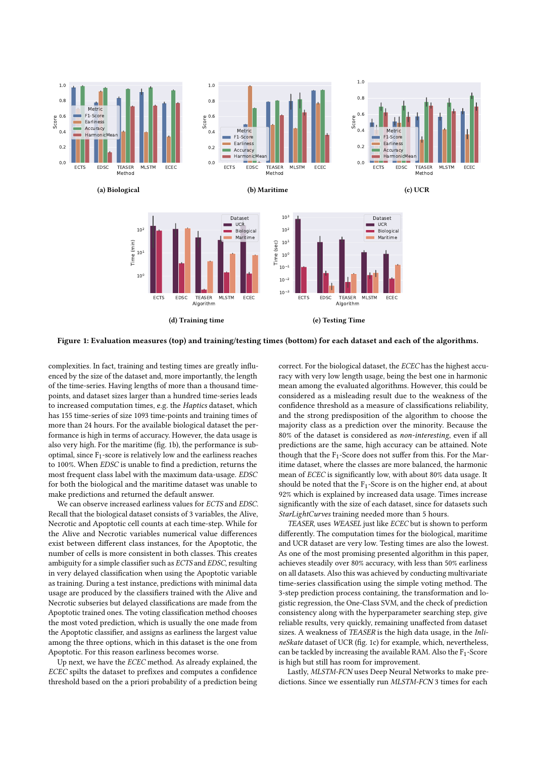<span id="page-4-0"></span>

Figure 1: Evaluation measures (top) and training/testing times (bottom) for each dataset and each of the algorithms.

complexities. In fact, training and testing times are greatly influenced by the size of the dataset and, more importantly, the length of the time-series. Having lengths of more than a thousand timepoints, and dataset sizes larger than a hundred time-series leads to increased computation times, e.g. the Haptics dataset, which has 155 time-series of size 1093 time-points and training times of more than 24 hours. For the available biological dataset the performance is high in terms of accuracy. However, the data usage is also very high. For the maritime (fig. [1b\)](#page-4-0), the performance is suboptimal, since  $F_1$ -score is relatively low and the earliness reaches to 100%. When EDSC is unable to find a prediction, returns the most frequent class label with the maximum data-usage. EDSC for both the biological and the maritime dataset was unable to make predictions and returned the default answer.

We can observe increased earliness values for ECTS and EDSC. Recall that the biological dataset consists of 3 variables, the Alive, Necrotic and Apoptotic cell counts at each time-step. While for the Alive and Necrotic variables numerical value differences exist between different class instances, for the Apoptotic, the number of cells is more consistent in both classes. This creates ambiguity for a simple classifier such as ECTS and EDSC, resulting in very delayed classification when using the Apoptotic variable as training. During a test instance, predictions with minimal data usage are produced by the classifiers trained with the Alive and Necrotic subseries but delayed classifications are made from the Apoptotic trained ones. The voting classification method chooses the most voted prediction, which is usually the one made from the Apoptotic classifier, and assigns as earliness the largest value among the three options, which in this dataset is the one from Apoptotic. For this reason earliness becomes worse.

Up next, we have the ECEC method. As already explained, the ECEC spilts the dataset to prefixes and computes a confidence threshold based on the a priori probability of a prediction being correct. For the biological dataset, the ECEC has the highest accuracy with very low length usage, being the best one in harmonic mean among the evaluated algorithms. However, this could be considered as a misleading result due to the weakness of the confidence threshold as a measure of classifications reliability, and the strong predisposition of the algorithm to choose the majority class as a prediction over the minority. Because the 80% of the dataset is considered as non-interesting, even if all predictions are the same, high accuracy can be attained. Note though that the  $F_1$ -Score does not suffer from this. For the Maritime dataset, where the classes are more balanced, the harmonic mean of ECEC is significantly low, with about 80% data usage. It should be noted that the  $F_1$ -Score is on the higher end, at about 92% which is explained by increased data usage. Times increase significantly with the size of each dataset, since for datasets such StarLightCurves training needed more than 5 hours.

TEASER, uses WEASEL just like ECEC but is shown to perform differently. The computation times for the biological, maritime and UCR dataset are very low. Testing times are also the lowest. As one of the most promising presented algorithm in this paper, achieves steadily over 80% accuracy, with less than 50% earliness on all datasets. Also this was achieved by conducting multivariate time-series classification using the simple voting method. The 3-step prediction process containing, the transformation and logistic regression, the One-Class SVM, and the check of prediction consistency along with the hyperparameter searching step, give reliable results, very quickly, remaining unaffected from dataset sizes. A weakness of TEASER is the high data usage, in the Inli-neSkate dataset of UCR (fig. [1c\)](#page-4-0) for example, which, nevertheless, can be tackled by increasing the available RAM. Also the  $F_1$ -Score is high but still has room for improvement.

Lastly, MLSTM-FCN uses Deep Neural Networks to make predictions. Since we essentially run MLSTM-FCN 3 times for each